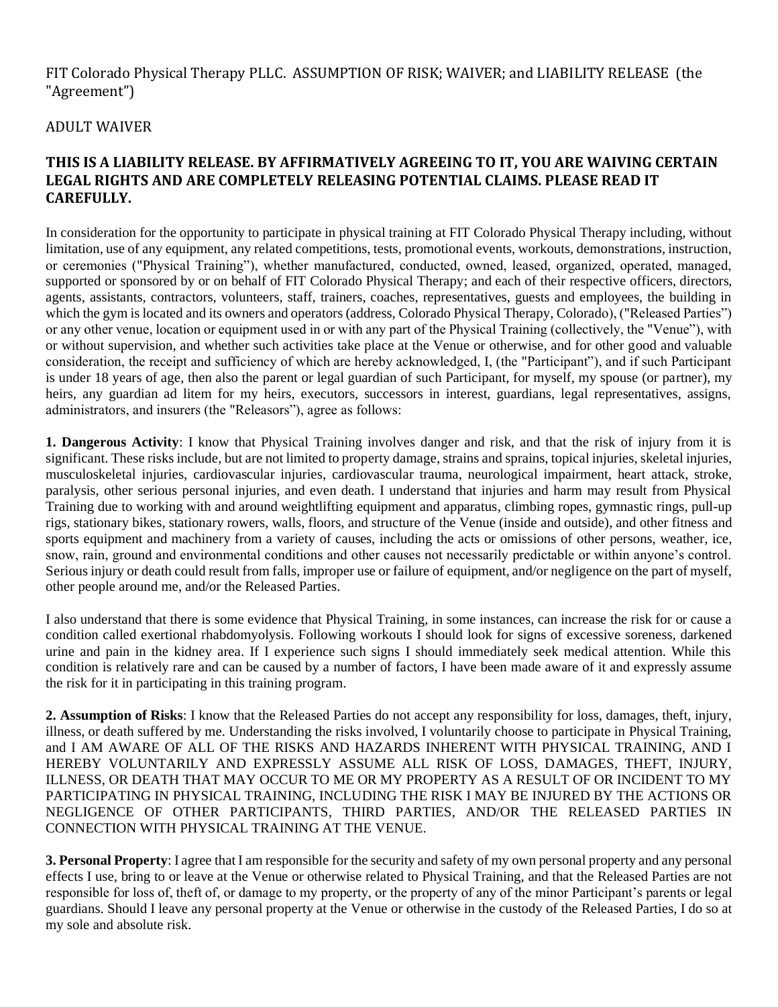## FIT Colorado Physical Therapy PLLC. ASSUMPTION OF RISK; WAIVER; and LIABILITY RELEASE (the "Agreement")

## ADULT WAIVER

## **THIS IS A LIABILITY RELEASE. BY AFFIRMATIVELY AGREEING TO IT, YOU ARE WAIVING CERTAIN LEGAL RIGHTS AND ARE COMPLETELY RELEASING POTENTIAL CLAIMS. PLEASE READ IT CAREFULLY.**

In consideration for the opportunity to participate in physical training at FIT Colorado Physical Therapy including, without limitation, use of any equipment, any related competitions, tests, promotional events, workouts, demonstrations, instruction, or ceremonies ("Physical Training"), whether manufactured, conducted, owned, leased, organized, operated, managed, supported or sponsored by or on behalf of FIT Colorado Physical Therapy; and each of their respective officers, directors, agents, assistants, contractors, volunteers, staff, trainers, coaches, representatives, guests and employees, the building in which the gym is located and its owners and operators (address, Colorado Physical Therapy, Colorado), ("Released Parties") or any other venue, location or equipment used in or with any part of the Physical Training (collectively, the "Venue"), with or without supervision, and whether such activities take place at the Venue or otherwise, and for other good and valuable consideration, the receipt and sufficiency of which are hereby acknowledged, I, (the "Participant"), and if such Participant is under 18 years of age, then also the parent or legal guardian of such Participant, for myself, my spouse (or partner), my heirs, any guardian ad litem for my heirs, executors, successors in interest, guardians, legal representatives, assigns, administrators, and insurers (the "Releasors"), agree as follows:

**1. Dangerous Activity**: I know that Physical Training involves danger and risk, and that the risk of injury from it is significant. These risks include, but are not limited to property damage, strains and sprains, topical injuries, skeletal injuries, musculoskeletal injuries, cardiovascular injuries, cardiovascular trauma, neurological impairment, heart attack, stroke, paralysis, other serious personal injuries, and even death. I understand that injuries and harm may result from Physical Training due to working with and around weightlifting equipment and apparatus, climbing ropes, gymnastic rings, pull-up rigs, stationary bikes, stationary rowers, walls, floors, and structure of the Venue (inside and outside), and other fitness and sports equipment and machinery from a variety of causes, including the acts or omissions of other persons, weather, ice, snow, rain, ground and environmental conditions and other causes not necessarily predictable or within anyone's control. Serious injury or death could result from falls, improper use or failure of equipment, and/or negligence on the part of myself, other people around me, and/or the Released Parties.

I also understand that there is some evidence that Physical Training, in some instances, can increase the risk for or cause a condition called exertional rhabdomyolysis. Following workouts I should look for signs of excessive soreness, darkened urine and pain in the kidney area. If I experience such signs I should immediately seek medical attention. While this condition is relatively rare and can be caused by a number of factors, I have been made aware of it and expressly assume the risk for it in participating in this training program.

**2. Assumption of Risks**: I know that the Released Parties do not accept any responsibility for loss, damages, theft, injury, illness, or death suffered by me. Understanding the risks involved, I voluntarily choose to participate in Physical Training, and I AM AWARE OF ALL OF THE RISKS AND HAZARDS INHERENT WITH PHYSICAL TRAINING, AND I HEREBY VOLUNTARILY AND EXPRESSLY ASSUME ALL RISK OF LOSS, DAMAGES, THEFT, INJURY, ILLNESS, OR DEATH THAT MAY OCCUR TO ME OR MY PROPERTY AS A RESULT OF OR INCIDENT TO MY PARTICIPATING IN PHYSICAL TRAINING, INCLUDING THE RISK I MAY BE INJURED BY THE ACTIONS OR NEGLIGENCE OF OTHER PARTICIPANTS, THIRD PARTIES, AND/OR THE RELEASED PARTIES IN CONNECTION WITH PHYSICAL TRAINING AT THE VENUE.

**3. Personal Property**: I agree that I am responsible for the security and safety of my own personal property and any personal effects I use, bring to or leave at the Venue or otherwise related to Physical Training, and that the Released Parties are not responsible for loss of, theft of, or damage to my property, or the property of any of the minor Participant's parents or legal guardians. Should I leave any personal property at the Venue or otherwise in the custody of the Released Parties, I do so at my sole and absolute risk.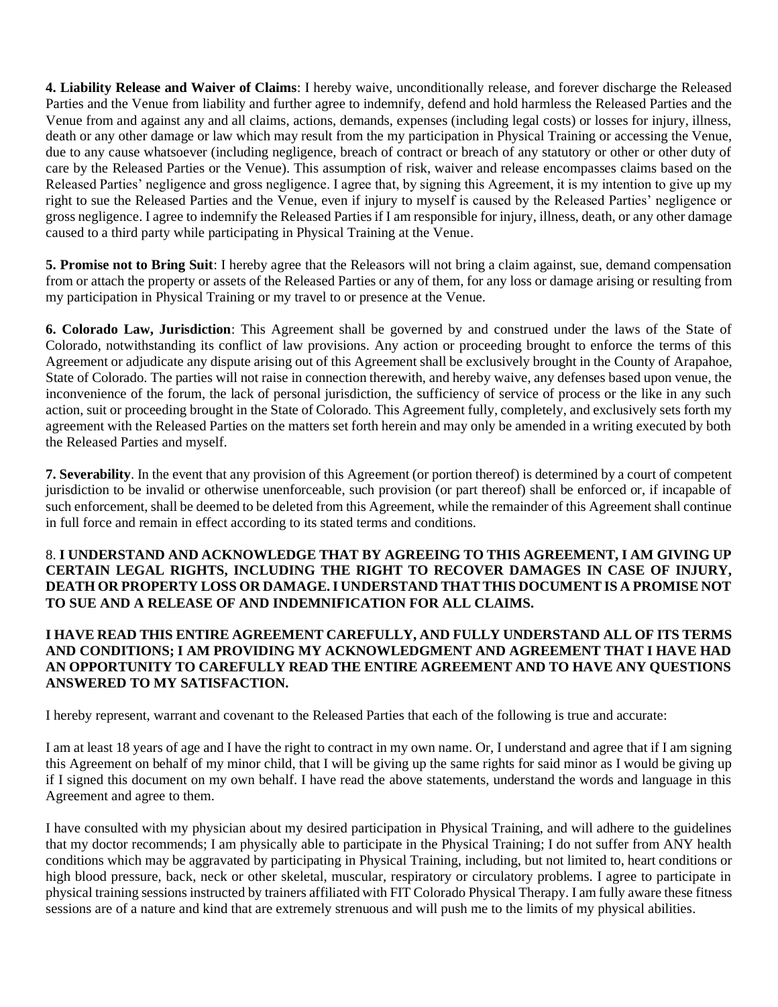**4. Liability Release and Waiver of Claims**: I hereby waive, unconditionally release, and forever discharge the Released Parties and the Venue from liability and further agree to indemnify, defend and hold harmless the Released Parties and the Venue from and against any and all claims, actions, demands, expenses (including legal costs) or losses for injury, illness, death or any other damage or law which may result from the my participation in Physical Training or accessing the Venue, due to any cause whatsoever (including negligence, breach of contract or breach of any statutory or other or other duty of care by the Released Parties or the Venue). This assumption of risk, waiver and release encompasses claims based on the Released Parties' negligence and gross negligence. I agree that, by signing this Agreement, it is my intention to give up my right to sue the Released Parties and the Venue, even if injury to myself is caused by the Released Parties' negligence or gross negligence. I agree to indemnify the Released Parties if I am responsible for injury, illness, death, or any other damage caused to a third party while participating in Physical Training at the Venue.

**5. Promise not to Bring Suit**: I hereby agree that the Releasors will not bring a claim against, sue, demand compensation from or attach the property or assets of the Released Parties or any of them, for any loss or damage arising or resulting from my participation in Physical Training or my travel to or presence at the Venue.

**6. Colorado Law, Jurisdiction**: This Agreement shall be governed by and construed under the laws of the State of Colorado, notwithstanding its conflict of law provisions. Any action or proceeding brought to enforce the terms of this Agreement or adjudicate any dispute arising out of this Agreement shall be exclusively brought in the County of Arapahoe, State of Colorado. The parties will not raise in connection therewith, and hereby waive, any defenses based upon venue, the inconvenience of the forum, the lack of personal jurisdiction, the sufficiency of service of process or the like in any such action, suit or proceeding brought in the State of Colorado. This Agreement fully, completely, and exclusively sets forth my agreement with the Released Parties on the matters set forth herein and may only be amended in a writing executed by both the Released Parties and myself.

**7. Severability**. In the event that any provision of this Agreement (or portion thereof) is determined by a court of competent jurisdiction to be invalid or otherwise unenforceable, such provision (or part thereof) shall be enforced or, if incapable of such enforcement, shall be deemed to be deleted from this Agreement, while the remainder of this Agreement shall continue in full force and remain in effect according to its stated terms and conditions.

8. **I UNDERSTAND AND ACKNOWLEDGE THAT BY AGREEING TO THIS AGREEMENT, I AM GIVING UP CERTAIN LEGAL RIGHTS, INCLUDING THE RIGHT TO RECOVER DAMAGES IN CASE OF INJURY, DEATH OR PROPERTY LOSS OR DAMAGE. I UNDERSTAND THAT THIS DOCUMENT IS A PROMISE NOT TO SUE AND A RELEASE OF AND INDEMNIFICATION FOR ALL CLAIMS.** 

## **I HAVE READ THIS ENTIRE AGREEMENT CAREFULLY, AND FULLY UNDERSTAND ALL OF ITS TERMS AND CONDITIONS; I AM PROVIDING MY ACKNOWLEDGMENT AND AGREEMENT THAT I HAVE HAD AN OPPORTUNITY TO CAREFULLY READ THE ENTIRE AGREEMENT AND TO HAVE ANY QUESTIONS ANSWERED TO MY SATISFACTION.**

I hereby represent, warrant and covenant to the Released Parties that each of the following is true and accurate:

I am at least 18 years of age and I have the right to contract in my own name. Or, I understand and agree that if I am signing this Agreement on behalf of my minor child, that I will be giving up the same rights for said minor as I would be giving up if I signed this document on my own behalf. I have read the above statements, understand the words and language in this Agreement and agree to them.

I have consulted with my physician about my desired participation in Physical Training, and will adhere to the guidelines that my doctor recommends; I am physically able to participate in the Physical Training; I do not suffer from ANY health conditions which may be aggravated by participating in Physical Training, including, but not limited to, heart conditions or high blood pressure, back, neck or other skeletal, muscular, respiratory or circulatory problems. I agree to participate in physical training sessions instructed by trainers affiliated with FIT Colorado Physical Therapy. I am fully aware these fitness sessions are of a nature and kind that are extremely strenuous and will push me to the limits of my physical abilities.